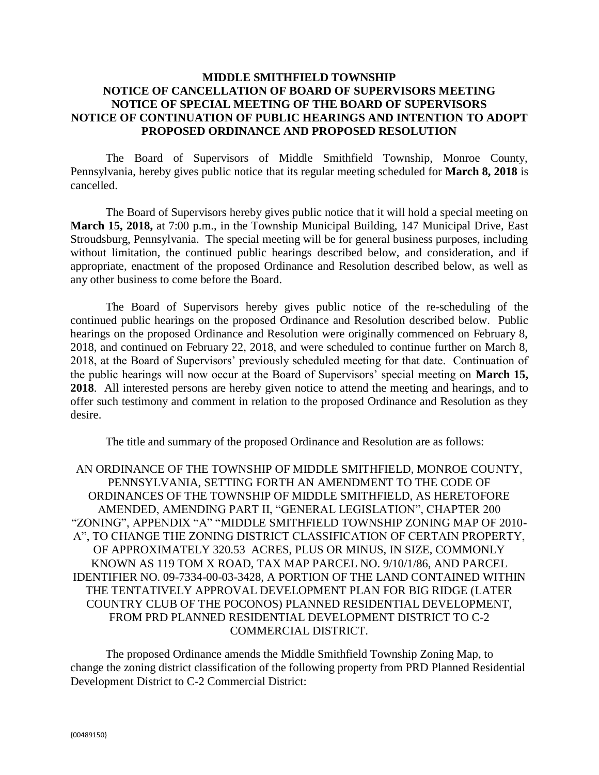## **MIDDLE SMITHFIELD TOWNSHIP NOTICE OF CANCELLATION OF BOARD OF SUPERVISORS MEETING NOTICE OF SPECIAL MEETING OF THE BOARD OF SUPERVISORS NOTICE OF CONTINUATION OF PUBLIC HEARINGS AND INTENTION TO ADOPT PROPOSED ORDINANCE AND PROPOSED RESOLUTION**

The Board of Supervisors of Middle Smithfield Township, Monroe County, Pennsylvania, hereby gives public notice that its regular meeting scheduled for **March 8, 2018** is cancelled.

The Board of Supervisors hereby gives public notice that it will hold a special meeting on **March 15, 2018,** at 7:00 p.m., in the Township Municipal Building, 147 Municipal Drive, East Stroudsburg, Pennsylvania. The special meeting will be for general business purposes, including without limitation, the continued public hearings described below, and consideration, and if appropriate, enactment of the proposed Ordinance and Resolution described below, as well as any other business to come before the Board.

The Board of Supervisors hereby gives public notice of the re-scheduling of the continued public hearings on the proposed Ordinance and Resolution described below. Public hearings on the proposed Ordinance and Resolution were originally commenced on February 8, 2018, and continued on February 22, 2018, and were scheduled to continue further on March 8, 2018, at the Board of Supervisors' previously scheduled meeting for that date. Continuation of the public hearings will now occur at the Board of Supervisors' special meeting on **March 15, 2018**. All interested persons are hereby given notice to attend the meeting and hearings, and to offer such testimony and comment in relation to the proposed Ordinance and Resolution as they desire.

The title and summary of the proposed Ordinance and Resolution are as follows:

AN ORDINANCE OF THE TOWNSHIP OF MIDDLE SMITHFIELD, MONROE COUNTY, PENNSYLVANIA, SETTING FORTH AN AMENDMENT TO THE CODE OF ORDINANCES OF THE TOWNSHIP OF MIDDLE SMITHFIELD, AS HERETOFORE AMENDED, AMENDING PART II, "GENERAL LEGISLATION", CHAPTER 200 "ZONING", APPENDIX "A" "MIDDLE SMITHFIELD TOWNSHIP ZONING MAP OF 2010- A", TO CHANGE THE ZONING DISTRICT CLASSIFICATION OF CERTAIN PROPERTY, OF APPROXIMATELY 320.53 ACRES, PLUS OR MINUS, IN SIZE, COMMONLY KNOWN AS 119 TOM X ROAD, TAX MAP PARCEL NO. 9/10/1/86, AND PARCEL IDENTIFIER NO. 09-7334-00-03-3428, A PORTION OF THE LAND CONTAINED WITHIN THE TENTATIVELY APPROVAL DEVELOPMENT PLAN FOR BIG RIDGE (LATER COUNTRY CLUB OF THE POCONOS) PLANNED RESIDENTIAL DEVELOPMENT, FROM PRD PLANNED RESIDENTIAL DEVELOPMENT DISTRICT TO C-2 COMMERCIAL DISTRICT.

The proposed Ordinance amends the Middle Smithfield Township Zoning Map, to change the zoning district classification of the following property from PRD Planned Residential Development District to C-2 Commercial District: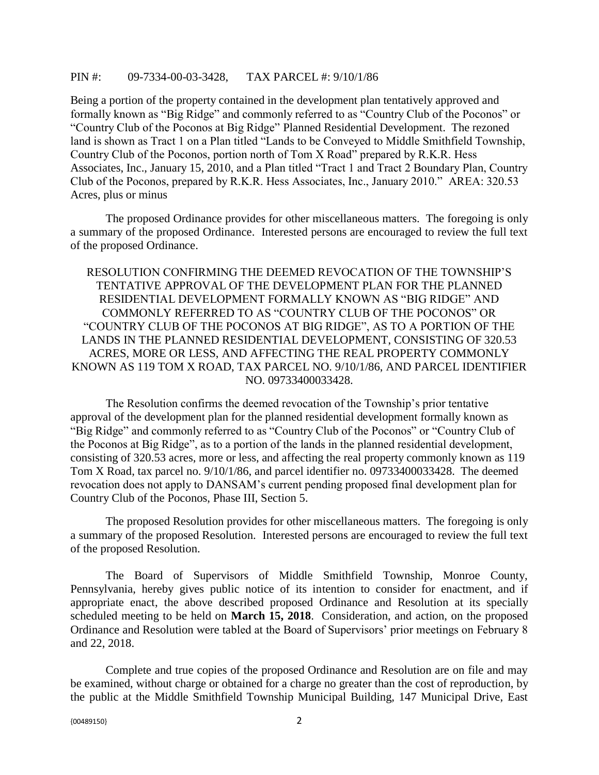## PIN #: 09-7334-00-03-3428, TAX PARCEL #: 9/10/1/86

Being a portion of the property contained in the development plan tentatively approved and formally known as "Big Ridge" and commonly referred to as "Country Club of the Poconos" or "Country Club of the Poconos at Big Ridge" Planned Residential Development. The rezoned land is shown as Tract 1 on a Plan titled "Lands to be Conveyed to Middle Smithfield Township, Country Club of the Poconos, portion north of Tom X Road" prepared by R.K.R. Hess Associates, Inc., January 15, 2010, and a Plan titled "Tract 1 and Tract 2 Boundary Plan, Country Club of the Poconos, prepared by R.K.R. Hess Associates, Inc., January 2010." AREA: 320.53 Acres, plus or minus

The proposed Ordinance provides for other miscellaneous matters. The foregoing is only a summary of the proposed Ordinance. Interested persons are encouraged to review the full text of the proposed Ordinance.

RESOLUTION CONFIRMING THE DEEMED REVOCATION OF THE TOWNSHIP'S TENTATIVE APPROVAL OF THE DEVELOPMENT PLAN FOR THE PLANNED RESIDENTIAL DEVELOPMENT FORMALLY KNOWN AS "BIG RIDGE" AND COMMONLY REFERRED TO AS "COUNTRY CLUB OF THE POCONOS" OR "COUNTRY CLUB OF THE POCONOS AT BIG RIDGE", AS TO A PORTION OF THE LANDS IN THE PLANNED RESIDENTIAL DEVELOPMENT, CONSISTING OF 320.53 ACRES, MORE OR LESS, AND AFFECTING THE REAL PROPERTY COMMONLY KNOWN AS 119 TOM X ROAD, TAX PARCEL NO. 9/10/1/86, AND PARCEL IDENTIFIER NO. 09733400033428.

The Resolution confirms the deemed revocation of the Township's prior tentative approval of the development plan for the planned residential development formally known as "Big Ridge" and commonly referred to as "Country Club of the Poconos" or "Country Club of the Poconos at Big Ridge", as to a portion of the lands in the planned residential development, consisting of 320.53 acres, more or less, and affecting the real property commonly known as 119 Tom X Road, tax parcel no. 9/10/1/86, and parcel identifier no. 09733400033428. The deemed revocation does not apply to DANSAM's current pending proposed final development plan for Country Club of the Poconos, Phase III, Section 5.

The proposed Resolution provides for other miscellaneous matters. The foregoing is only a summary of the proposed Resolution. Interested persons are encouraged to review the full text of the proposed Resolution.

The Board of Supervisors of Middle Smithfield Township, Monroe County, Pennsylvania, hereby gives public notice of its intention to consider for enactment, and if appropriate enact, the above described proposed Ordinance and Resolution at its specially scheduled meeting to be held on **March 15, 2018**. Consideration, and action, on the proposed Ordinance and Resolution were tabled at the Board of Supervisors' prior meetings on February 8 and 22, 2018.

Complete and true copies of the proposed Ordinance and Resolution are on file and may be examined, without charge or obtained for a charge no greater than the cost of reproduction, by the public at the Middle Smithfield Township Municipal Building, 147 Municipal Drive, East